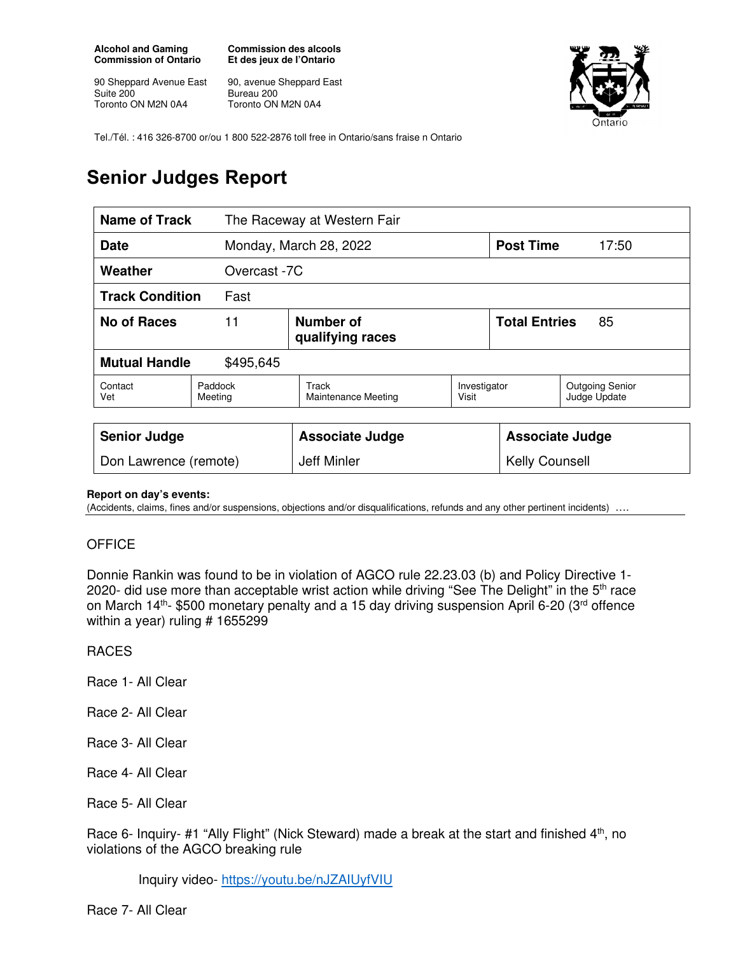**Alcohol and Gaming Commission of Ontario** 

90 Sheppard Avenue East Suite 200 Toronto ON M2N 0A4

**Commission des alcools Et des jeux de l'Ontario** 

90, avenue Sheppard East Bureau 200 Toronto ON M2N 0A4



Tel./Tél. : 416 326-8700 or/ou 1 800 522-2876 toll free in Ontario/sans fraise n Ontario

# **Senior Judges Report**

| <b>Name of Track</b>              |                    | The Raceway at Western Fair         |                       |                            |                                        |
|-----------------------------------|--------------------|-------------------------------------|-----------------------|----------------------------|----------------------------------------|
| <b>Date</b>                       |                    | Monday, March 28, 2022              |                       | <b>Post Time</b>           | 17:50                                  |
| Weather                           | Overcast -7C       |                                     |                       |                            |                                        |
| <b>Track Condition</b><br>Fast    |                    |                                     |                       |                            |                                        |
| <b>No of Races</b>                | 11                 | Number of<br>qualifying races       |                       | <b>Total Entries</b><br>85 |                                        |
| <b>Mutual Handle</b><br>\$495,645 |                    |                                     |                       |                            |                                        |
| Contact<br>Vet                    | Paddock<br>Meeting | Track<br><b>Maintenance Meeting</b> | Investigator<br>Visit |                            | <b>Outgoing Senior</b><br>Judge Update |
|                                   |                    |                                     |                       |                            |                                        |
| <b>Senior Judge</b>               |                    | <b>Associate Judge</b>              |                       | <b>Associate Judge</b>     |                                        |
| Don Lawrence (remote)             |                    | Jeff Minler                         |                       | <b>Kelly Counsell</b>      |                                        |

#### **Report on day's events:**

(Accidents, claims, fines and/or suspensions, objections and/or disqualifications, refunds and any other pertinent incidents) ….

### **OFFICE**

Donnie Rankin was found to be in violation of AGCO rule 22.23.03 (b) and Policy Directive 1- 2020- did use more than acceptable wrist action while driving "See The Delight" in the 5<sup>th</sup> race on March  $14<sup>th</sup>$ - \$500 monetary penalty and a 15 day driving suspension April 6-20 (3<sup>rd</sup> offence within a year) ruling # 1655299

#### RACES

Race 1- All Clear

- Race 2- All Clear
- Race 3- All Clear

Race 4- All Clear

Race 5- All Clear

Race 6- Inquiry- #1 "Ally Flight" (Nick Steward) made a break at the start and finished 4<sup>th</sup>, no violations of the AGCO breaking rule

Inquiry video- https://youtu.be/nJZAIUyfVIU